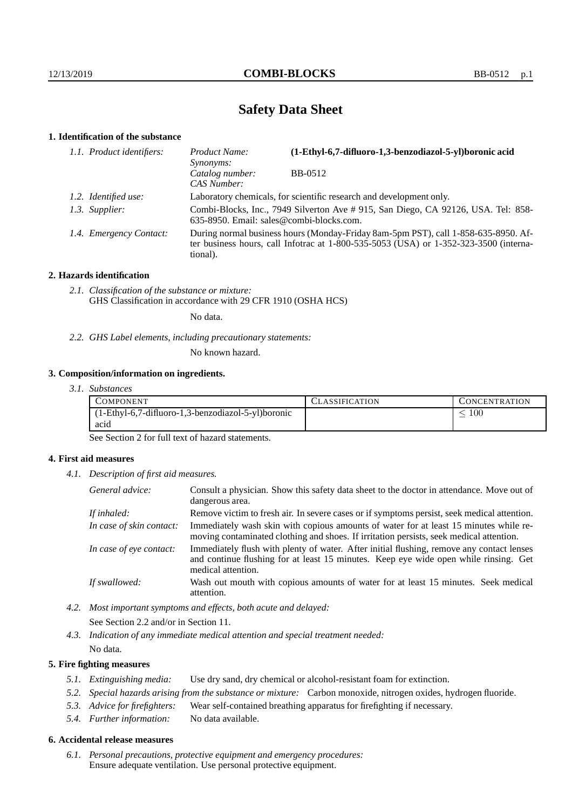# **Safety Data Sheet**

# **1. Identification of the substance**

| 1.1. Product identifiers: | (1-Ethyl-6,7-difluoro-1,3-benzodiazol-5-yl)boronic acid<br>Product Name:<br><i>Synonyms:</i>                                                                                                |         |  |
|---------------------------|---------------------------------------------------------------------------------------------------------------------------------------------------------------------------------------------|---------|--|
|                           | Catalog number:<br>CAS Number:                                                                                                                                                              | BB-0512 |  |
| 1.2. Identified use:      | Laboratory chemicals, for scientific research and development only.                                                                                                                         |         |  |
| 1.3. Supplier:            | Combi-Blocks, Inc., 7949 Silverton Ave # 915, San Diego, CA 92126, USA. Tel: 858-<br>635-8950. Email: sales@combi-blocks.com.                                                               |         |  |
| 1.4. Emergency Contact:   | During normal business hours (Monday-Friday 8am-5pm PST), call 1-858-635-8950. Af-<br>ter business hours, call Infotrac at $1-800-535-5053$ (USA) or $1-352-323-3500$ (interna-<br>tional). |         |  |

### **2. Hazards identification**

*2.1. Classification of the substance or mixture:* GHS Classification in accordance with 29 CFR 1910 (OSHA HCS)

No data.

*2.2. GHS Label elements, including precautionary statements:*

No known hazard.

# **3. Composition/information on ingredients.**

| 3.1. Substances |  |
|-----------------|--|
|                 |  |

| COMPONENT                                          | <b>ASSIFICATION</b> | L'ONCENTRATION |
|----------------------------------------------------|---------------------|----------------|
| (1-Ethyl-6,7-difluoro-1,3-benzodiazol-5-yl)boronic |                     | - 00           |
| ac <sub>1</sub> d                                  |                     |                |

See Section 2 for full text of hazard statements.

### **4. First aid measures**

*4.1. Description of first aid measures.*

| General advice:          | Consult a physician. Show this safety data sheet to the doctor in attendance. Move out of<br>dangerous area.                                                                                            |
|--------------------------|---------------------------------------------------------------------------------------------------------------------------------------------------------------------------------------------------------|
| If inhaled:              | Remove victim to fresh air. In severe cases or if symptoms persist, seek medical attention.                                                                                                             |
| In case of skin contact: | Immediately wash skin with copious amounts of water for at least 15 minutes while re-<br>moving contaminated clothing and shoes. If irritation persists, seek medical attention.                        |
| In case of eye contact:  | Immediately flush with plenty of water. After initial flushing, remove any contact lenses<br>and continue flushing for at least 15 minutes. Keep eye wide open while rinsing. Get<br>medical attention. |
| If swallowed:            | Wash out mouth with copious amounts of water for at least 15 minutes. Seek medical<br>attention.                                                                                                        |

*4.2. Most important symptoms and effects, both acute and delayed:*

See Section 2.2 and/or in Section 11.

*4.3. Indication of any immediate medical attention and special treatment needed:*

No data.

# **5. Fire fighting measures**

- *5.1. Extinguishing media:* Use dry sand, dry chemical or alcohol-resistant foam for extinction.
- *5.2. Special hazards arising from the substance or mixture:* Carbon monoxide, nitrogen oxides, hydrogen fluoride.
- *5.3. Advice for firefighters:* Wear self-contained breathing apparatus for firefighting if necessary.
- *5.4. Further information:* No data available.

## **6. Accidental release measures**

*6.1. Personal precautions, protective equipment and emergency procedures:* Ensure adequate ventilation. Use personal protective equipment.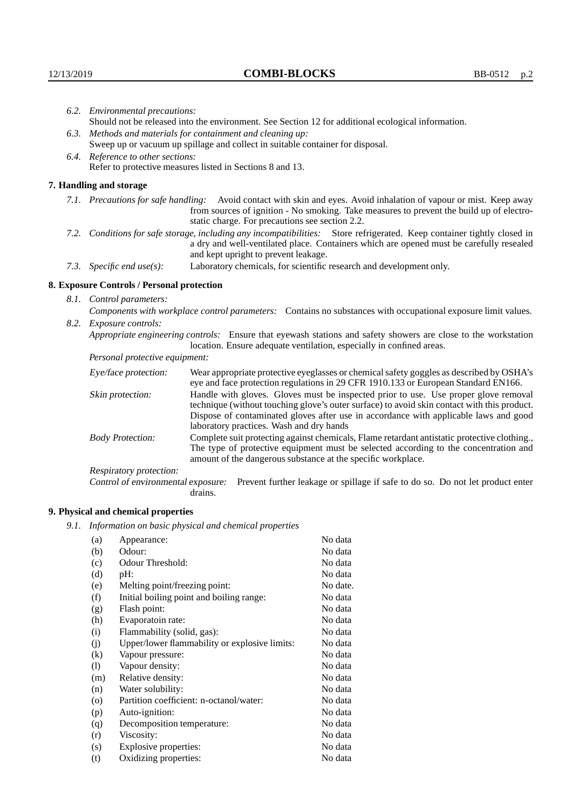| 6.2. Environmental precautions:                                                                               |                                                                                                                                                                                                                                                            |                                                                                                                                                                                                                                                                    |  |  |
|---------------------------------------------------------------------------------------------------------------|------------------------------------------------------------------------------------------------------------------------------------------------------------------------------------------------------------------------------------------------------------|--------------------------------------------------------------------------------------------------------------------------------------------------------------------------------------------------------------------------------------------------------------------|--|--|
|                                                                                                               | Should not be released into the environment. See Section 12 for additional ecological information.                                                                                                                                                         |                                                                                                                                                                                                                                                                    |  |  |
|                                                                                                               |                                                                                                                                                                                                                                                            | 6.3. Methods and materials for containment and cleaning up:                                                                                                                                                                                                        |  |  |
|                                                                                                               |                                                                                                                                                                                                                                                            | Sweep up or vacuum up spillage and collect in suitable container for disposal.                                                                                                                                                                                     |  |  |
|                                                                                                               | 6.4. Reference to other sections:                                                                                                                                                                                                                          |                                                                                                                                                                                                                                                                    |  |  |
|                                                                                                               | Refer to protective measures listed in Sections 8 and 13.                                                                                                                                                                                                  |                                                                                                                                                                                                                                                                    |  |  |
|                                                                                                               | 7. Handling and storage                                                                                                                                                                                                                                    |                                                                                                                                                                                                                                                                    |  |  |
|                                                                                                               |                                                                                                                                                                                                                                                            | 7.1. Precautions for safe handling: Avoid contact with skin and eyes. Avoid inhalation of vapour or mist. Keep away<br>from sources of ignition - No smoking. Take measures to prevent the build up of electro-<br>static charge. For precautions see section 2.2. |  |  |
|                                                                                                               | 7.2. Conditions for safe storage, including any incompatibilities: Store refrigerated. Keep container tightly closed in<br>a dry and well-ventilated place. Containers which are opened must be carefully resealed<br>and kept upright to prevent leakage. |                                                                                                                                                                                                                                                                    |  |  |
|                                                                                                               | 7.3. Specific end use(s):                                                                                                                                                                                                                                  | Laboratory chemicals, for scientific research and development only.                                                                                                                                                                                                |  |  |
|                                                                                                               | 8. Exposure Controls / Personal protection                                                                                                                                                                                                                 |                                                                                                                                                                                                                                                                    |  |  |
|                                                                                                               | 8.1. Control parameters:                                                                                                                                                                                                                                   |                                                                                                                                                                                                                                                                    |  |  |
| Components with workplace control parameters: Contains no substances with occupational exposure limit values. |                                                                                                                                                                                                                                                            |                                                                                                                                                                                                                                                                    |  |  |
|                                                                                                               | 8.2. Exposure controls:                                                                                                                                                                                                                                    |                                                                                                                                                                                                                                                                    |  |  |
|                                                                                                               |                                                                                                                                                                                                                                                            | Appropriate engineering controls: Ensure that eyewash stations and safety showers are close to the workstation<br>location. Ensure adequate ventilation, especially in confined areas.                                                                             |  |  |
|                                                                                                               | Personal protective equipment:                                                                                                                                                                                                                             |                                                                                                                                                                                                                                                                    |  |  |
|                                                                                                               | Eye/face protection:                                                                                                                                                                                                                                       | Wear appropriate protective eyeglasses or chemical safety goggles as described by OSHA's<br>eye and face protection regulations in 29 CFR 1910.133 or European Standard EN166.                                                                                     |  |  |
|                                                                                                               | Skin protection:                                                                                                                                                                                                                                           | Handle with gloves. Gloves must be inspected prior to use. Use proper glove removal<br>technique (without touching glove's outer surface) to avoid skin contact with this product.                                                                                 |  |  |

| Eye/face protection:<br>Wear appropriate protective eyeglasses or chemical safety goggles as described by OSHA's<br>eye and face protection regulations in 29 CFR 1910.133 or European Standard EN166.                                                                          |                                                                                                                                                                                                                                                                                                                        |  |  |
|---------------------------------------------------------------------------------------------------------------------------------------------------------------------------------------------------------------------------------------------------------------------------------|------------------------------------------------------------------------------------------------------------------------------------------------------------------------------------------------------------------------------------------------------------------------------------------------------------------------|--|--|
| Skin protection:                                                                                                                                                                                                                                                                | Handle with gloves. Gloves must be inspected prior to use. Use proper glove removal<br>technique (without touching glove's outer surface) to avoid skin contact with this product.<br>Dispose of contaminated gloves after use in accordance with applicable laws and good<br>laboratory practices. Wash and dry hands |  |  |
| Complete suit protecting against chemicals, Flame retardant antistatic protective clothing.,<br><b>Body Protection:</b><br>The type of protective equipment must be selected according to the concentration and<br>amount of the dangerous substance at the specific workplace. |                                                                                                                                                                                                                                                                                                                        |  |  |
| Respiratory protection:                                                                                                                                                                                                                                                         |                                                                                                                                                                                                                                                                                                                        |  |  |
| Control of environmental exposure:                                                                                                                                                                                                                                              | Prevent further leakage or spillage if safe to do so. Do not let product enter<br>drains.                                                                                                                                                                                                                              |  |  |

# **9. Physical and chemical properties**

*9.1. Information on basic physical and chemical properties*

| (a)                | Appearance:                                   | No data  |
|--------------------|-----------------------------------------------|----------|
| (b)                | Odour:                                        | No data  |
| (c)                | Odour Threshold:                              | No data  |
| (d)                | pH:                                           | No data  |
| (e)                | Melting point/freezing point:                 | No date. |
| (f)                | Initial boiling point and boiling range:      | No data  |
| (g)                | Flash point:                                  | No data  |
| (h)                | Evaporatoin rate:                             | No data  |
| (i)                | Flammability (solid, gas):                    | No data  |
| (j)                | Upper/lower flammability or explosive limits: | No data  |
| $\rm(k)$           | Vapour pressure:                              | No data  |
| (1)                | Vapour density:                               | No data  |
| (m)                | Relative density:                             | No data  |
| (n)                | Water solubility:                             | No data  |
| $\left( 0 \right)$ | Partition coefficient: n-octanol/water:       | No data  |
| (p)                | Auto-ignition:                                | No data  |
| (q)                | Decomposition temperature:                    | No data  |
| (r)                | Viscosity:                                    | No data  |
| (s)                | Explosive properties:                         | No data  |
| (t)                | Oxidizing properties:                         | No data  |